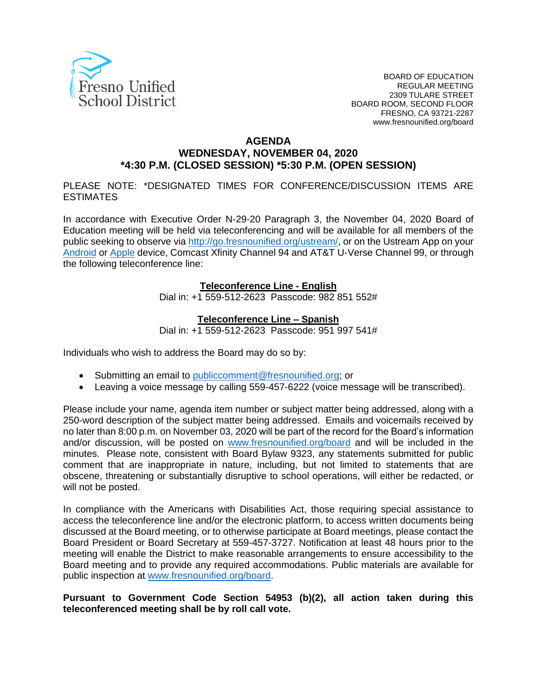

#### **AGENDA**

### **WEDNESDAY, NOVEMBER 04, 2020 \*4:30 P.M. (CLOSED SESSION) \*5:30 P.M. (OPEN SESSION)**

PLEASE NOTE: \*DESIGNATED TIMES FOR CONFERENCE/DISCUSSION ITEMS ARE ESTIMATES

In accordance with Executive Order N-29-20 Paragraph 3, the November 04, 2020 Board of Education meeting will be held via teleconferencing and will be available for all members of the public seeking to observe via [http://go.fresnounified.org/ustream/,](http://go.fresnounified.org/ustream/) or on the Ustream App on your [Android](https://play.google.com/store/apps/details?id=tv.ustream.ustream&hl=en_US) or [Apple](https://itunes.apple.com/us/app/ustream/id301520250?mt=8) device, Comcast Xfinity Channel 94 and AT&T U-Verse Channel 99, or through the following teleconference line:

#### **Teleconference Line - English**

Dial in: +1 559-512-2623 Passcode: 982 851 552#

#### **Teleconference Line – Spanish**

Dial in: +1 559-512-2623 Passcode: 951 997 541#

Individuals who wish to address the Board may do so by:

- Submitting an email to [publiccomment@fresnounified.org;](mailto:publiccomment@fresnounified.org) or
- Leaving a voice message by calling 559-457-6222 (voice message will be transcribed).

Please include your name, agenda item number or subject matter being addressed, along with a 250-word description of the subject matter being addressed. Emails and voicemails received by no later than 8:00 p.m. on November 03, 2020 will be part of the record for the Board's information and/or discussion, will be posted on [www.fresnounified.org/board](http://www.fresnounified.org/board) and will be included in the minutes. Please note, consistent with Board Bylaw 9323, any statements submitted for public comment that are inappropriate in nature, including, but not limited to statements that are obscene, threatening or substantially disruptive to school operations, will either be redacted, or will not be posted.

In compliance with the Americans with Disabilities Act, those requiring special assistance to access the teleconference line and/or the electronic platform, to access written documents being discussed at the Board meeting, or to otherwise participate at Board meetings, please contact the Board President or Board Secretary at 559-457-3727. Notification at least 48 hours prior to the meeting will enable the District to make reasonable arrangements to ensure accessibility to the Board meeting and to provide any required accommodations. Public materials are available for public inspection at [www.fresnounified.org/board.](http://www.fresnounified.org/board)

#### **Pursuant to Government Code Section 54953 (b)(2), all action taken during this teleconferenced meeting shall be by roll call vote.**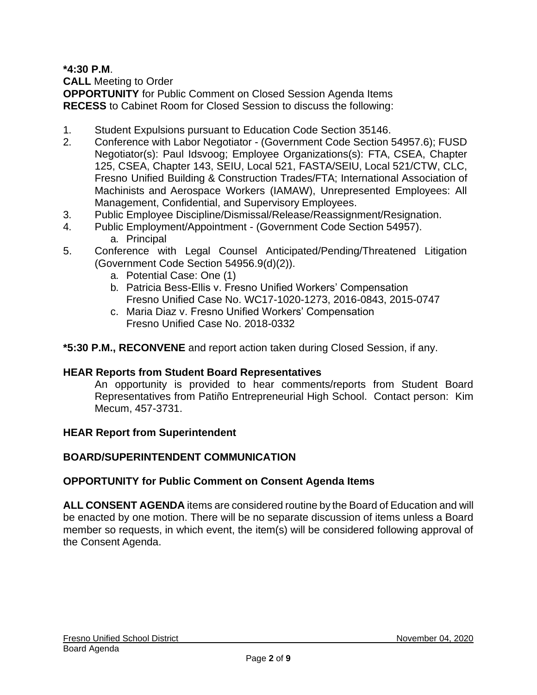**\*4:30 P.M**.

**CALL** Meeting to Order

**OPPORTUNITY** for Public Comment on Closed Session Agenda Items **RECESS** to Cabinet Room for Closed Session to discuss the following:

- 1. Student Expulsions pursuant to Education Code Section 35146.
- 2. Conference with Labor Negotiator (Government Code Section 54957.6); FUSD Negotiator(s): Paul Idsvoog; Employee Organizations(s): FTA, CSEA, Chapter 125, CSEA, Chapter 143, SEIU, Local 521, FASTA/SEIU, Local 521/CTW, CLC, Fresno Unified Building & Construction Trades/FTA; International Association of Machinists and Aerospace Workers (IAMAW), Unrepresented Employees: All Management, Confidential, and Supervisory Employees.
- 3. Public Employee Discipline/Dismissal/Release/Reassignment/Resignation.
- 4. Public Employment/Appointment (Government Code Section 54957). a. Principal
- 5. Conference with Legal Counsel Anticipated/Pending/Threatened Litigation (Government Code Section 54956.9(d)(2)).
	- a. Potential Case: One (1)
	- b. Patricia Bess-Ellis v. Fresno Unified Workers' Compensation Fresno Unified Case No. WC17-1020-1273, 2016-0843, 2015-0747
	- c. Maria Diaz v. Fresno Unified Workers' Compensation Fresno Unified Case No. 2018-0332

# **\*5:30 P.M., RECONVENE** and report action taken during Closed Session, if any.

# **HEAR Reports from Student Board Representatives**

An opportunity is provided to hear comments/reports from Student Board Representatives from Patiño Entrepreneurial High School. Contact person: Kim Mecum, 457-3731.

# **HEAR Report from Superintendent**

# **BOARD/SUPERINTENDENT COMMUNICATION**

# **OPPORTUNITY for Public Comment on Consent Agenda Items**

**ALL CONSENT AGENDA** items are considered routine by the Board of Education and will be enacted by one motion. There will be no separate discussion of items unless a Board member so requests, in which event, the item(s) will be considered following approval of the Consent Agenda.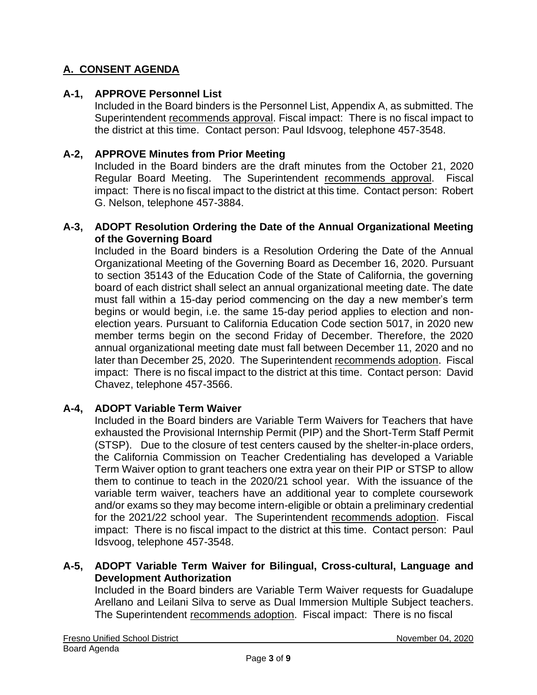# **A. CONSENT AGENDA**

# **A-1, APPROVE Personnel List**

Included in the Board binders is the Personnel List, Appendix A, as submitted. The Superintendent recommends approval. Fiscal impact: There is no fiscal impact to the district at this time. Contact person: Paul Idsvoog, telephone 457-3548.

### **A-2, APPROVE Minutes from Prior Meeting**

Included in the Board binders are the draft minutes from the October 21, 2020 Regular Board Meeting. The Superintendent recommends approval. Fiscal impact: There is no fiscal impact to the district at this time. Contact person: Robert G. Nelson, telephone 457-3884.

#### **A-3, ADOPT Resolution Ordering the Date of the Annual Organizational Meeting of the Governing Board**

Included in the Board binders is a Resolution Ordering the Date of the Annual Organizational Meeting of the Governing Board as December 16, 2020. Pursuant to section 35143 of the Education Code of the State of California, the governing board of each district shall select an annual organizational meeting date. The date must fall within a 15-day period commencing on the day a new member's term begins or would begin, i.e. the same 15-day period applies to election and nonelection years. Pursuant to California Education Code section 5017, in 2020 new member terms begin on the second Friday of December. Therefore, the 2020 annual organizational meeting date must fall between December 11, 2020 and no later than December 25, 2020. The Superintendent recommends adoption. Fiscal impact: There is no fiscal impact to the district at this time. Contact person: David Chavez, telephone 457-3566.

#### **A-4, ADOPT Variable Term Waiver**

Included in the Board binders are Variable Term Waivers for Teachers that have exhausted the Provisional Internship Permit (PIP) and the Short-Term Staff Permit (STSP). Due to the closure of test centers caused by the shelter-in-place orders, the California Commission on Teacher Credentialing has developed a Variable Term Waiver option to grant teachers one extra year on their PIP or STSP to allow them to continue to teach in the 2020/21 school year. With the issuance of the variable term waiver, teachers have an additional year to complete coursework and/or exams so they may become intern-eligible or obtain a preliminary credential for the 2021/22 school year. The Superintendent recommends adoption. Fiscal impact: There is no fiscal impact to the district at this time. Contact person: Paul Idsvoog, telephone 457-3548.

### **A-5, ADOPT Variable Term Waiver for Bilingual, Cross-cultural, Language and Development Authorization**

Included in the Board binders are Variable Term Waiver requests for Guadalupe Arellano and Leilani Silva to serve as Dual Immersion Multiple Subject teachers. The Superintendent recommends adoption. Fiscal impact: There is no fiscal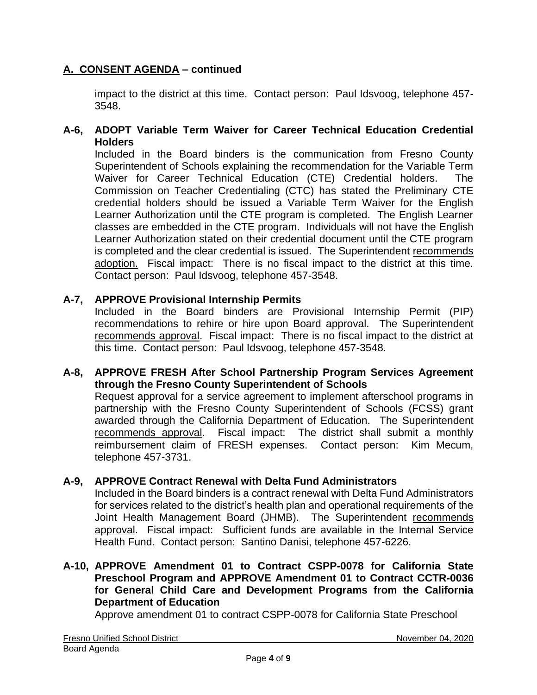impact to the district at this time. Contact person: Paul Idsvoog, telephone 457- 3548.

# **A-6, ADOPT Variable Term Waiver for Career Technical Education Credential Holders**

Included in the Board binders is the communication from Fresno County Superintendent of Schools explaining the recommendation for the Variable Term Waiver for Career Technical Education (CTE) Credential holders. The Commission on Teacher Credentialing (CTC) has stated the Preliminary CTE credential holders should be issued a Variable Term Waiver for the English Learner Authorization until the CTE program is completed. The English Learner classes are embedded in the CTE program. Individuals will not have the English Learner Authorization stated on their credential document until the CTE program is completed and the clear credential is issued. The Superintendent recommends adoption. Fiscal impact: There is no fiscal impact to the district at this time. Contact person: Paul Idsvoog, telephone 457-3548.

### **A-7, APPROVE Provisional Internship Permits**

Included in the Board binders are Provisional Internship Permit (PIP) recommendations to rehire or hire upon Board approval. The Superintendent recommends approval. Fiscal impact: There is no fiscal impact to the district at this time. Contact person: Paul Idsvoog, telephone 457-3548.

### **A-8, APPROVE FRESH After School Partnership Program Services Agreement through the Fresno County Superintendent of Schools**

Request approval for a service agreement to implement afterschool programs in partnership with the Fresno County Superintendent of Schools (FCSS) grant awarded through the California Department of Education. The Superintendent recommends approval. Fiscal impact: The district shall submit a monthly reimbursement claim of FRESH expenses. Contact person: Kim Mecum, telephone 457-3731.

#### **A-9, APPROVE Contract Renewal with Delta Fund Administrators**

Included in the Board binders is a contract renewal with Delta Fund Administrators for services related to the district's health plan and operational requirements of the Joint Health Management Board (JHMB). The Superintendent recommends approval. Fiscal impact: Sufficient funds are available in the Internal Service Health Fund. Contact person: Santino Danisi, telephone 457-6226.

### **A-10, APPROVE Amendment 01 to Contract CSPP-0078 for California State Preschool Program and APPROVE Amendment 01 to Contract CCTR-0036 for General Child Care and Development Programs from the California Department of Education**

Approve amendment 01 to contract CSPP-0078 for California State Preschool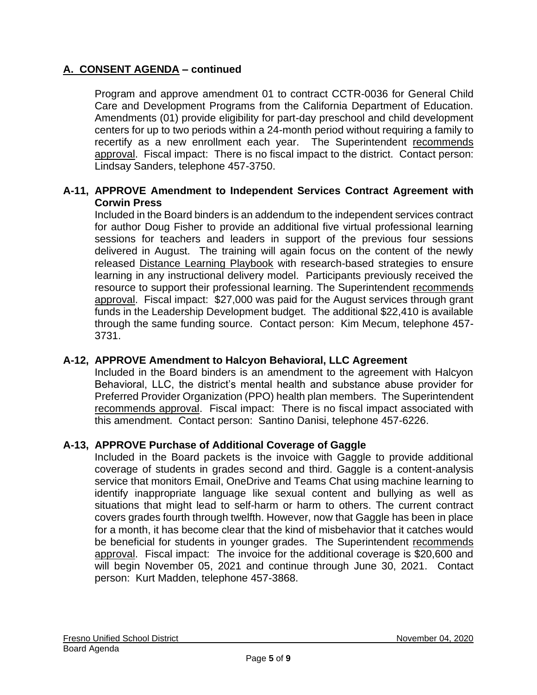Program and approve amendment 01 to contract CCTR-0036 for General Child Care and Development Programs from the California Department of Education. Amendments (01) provide eligibility for part-day preschool and child development centers for up to two periods within a 24-month period without requiring a family to recertify as a new enrollment each year. The Superintendent recommends approval. Fiscal impact: There is no fiscal impact to the district. Contact person: Lindsay Sanders, telephone 457-3750.

# **A-11, APPROVE Amendment to Independent Services Contract Agreement with Corwin Press**

Included in the Board binders is an addendum to the independent services contract for author Doug Fisher to provide an additional five virtual professional learning sessions for teachers and leaders in support of the previous four sessions delivered in August. The training will again focus on the content of the newly released Distance Learning Playbook with research-based strategies to ensure learning in any instructional delivery model. Participants previously received the resource to support their professional learning. The Superintendent recommends approval. Fiscal impact: \$27,000 was paid for the August services through grant funds in the Leadership Development budget. The additional \$22,410 is available through the same funding source. Contact person: Kim Mecum, telephone 457- 3731.

# **A-12, APPROVE Amendment to Halcyon Behavioral, LLC Agreement**

Included in the Board binders is an amendment to the agreement with Halcyon Behavioral, LLC, the district's mental health and substance abuse provider for Preferred Provider Organization (PPO) health plan members. The Superintendent recommends approval. Fiscal impact: There is no fiscal impact associated with this amendment. Contact person: Santino Danisi, telephone 457-6226.

# **A-13, APPROVE Purchase of Additional Coverage of Gaggle**

Included in the Board packets is the invoice with Gaggle to provide additional coverage of students in grades second and third. Gaggle is a content-analysis service that monitors Email, OneDrive and Teams Chat using machine learning to identify inappropriate language like sexual content and bullying as well as situations that might lead to self-harm or harm to others. The current contract covers grades fourth through twelfth. However, now that Gaggle has been in place for a month, it has become clear that the kind of misbehavior that it catches would be beneficial for students in younger grades. The Superintendent recommends approval. Fiscal impact: The invoice for the additional coverage is \$20,600 and will begin November 05, 2021 and continue through June 30, 2021. Contact person: Kurt Madden, telephone 457-3868.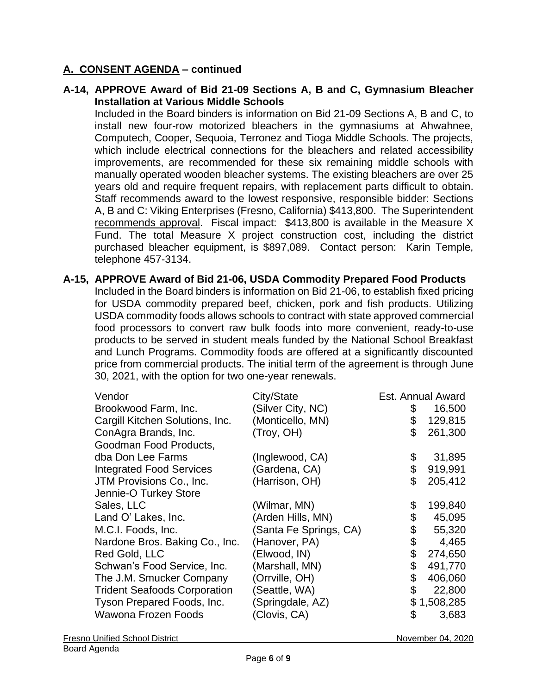### **A-14, APPROVE Award of Bid 21-09 Sections A, B and C, Gymnasium Bleacher Installation at Various Middle Schools**

Included in the Board binders is information on Bid 21-09 Sections A, B and C, to install new four-row motorized bleachers in the gymnasiums at Ahwahnee, Computech, Cooper, Sequoia, Terronez and Tioga Middle Schools. The projects, which include electrical connections for the bleachers and related accessibility improvements, are recommended for these six remaining middle schools with manually operated wooden bleacher systems. The existing bleachers are over 25 years old and require frequent repairs, with replacement parts difficult to obtain. Staff recommends award to the lowest responsive, responsible bidder: Sections A, B and C: Viking Enterprises (Fresno, California) \$413,800. The Superintendent recommends approval. Fiscal impact: \$413,800 is available in the Measure X Fund. The total Measure X project construction cost, including the district purchased bleacher equipment, is \$897,089. Contact person: Karin Temple, telephone 457-3134.

#### **A-15, APPROVE Award of Bid 21-06, USDA Commodity Prepared Food Products** Included in the Board binders is information on Bid 21-06, to establish fixed pricing for USDA commodity prepared beef, chicken, pork and fish products. Utilizing USDA commodity foods allows schools to contract with state approved commercial food processors to convert raw bulk foods into more convenient, ready-to-use products to be served in student meals funded by the National School Breakfast

and Lunch Programs. Commodity foods are offered at a significantly discounted price from commercial products. The initial term of the agreement is through June 30, 2021, with the option for two one-year renewals.

| City/State<br>Vendor                                 | Est. Annual Award |
|------------------------------------------------------|-------------------|
| (Silver City, NC)<br>Brookwood Farm, Inc.            | \$<br>16,500      |
| (Monticello, MN)<br>Cargill Kitchen Solutions, Inc.  | \$<br>129,815     |
| (Troy, OH)<br>ConAgra Brands, Inc.                   | \$<br>261,300     |
| Goodman Food Products,                               |                   |
| dba Don Lee Farms<br>(Inglewood, CA)                 | \$<br>31,895      |
| (Gardena, CA)<br><b>Integrated Food Services</b>     | \$<br>919,991     |
| (Harrison, OH)<br>JTM Provisions Co., Inc.           | \$<br>205,412     |
| Jennie-O Turkey Store                                |                   |
| Sales, LLC<br>(Wilmar, MN)                           | \$<br>199,840     |
| Land O' Lakes, Inc.<br>(Arden Hills, MN)             | 45,095            |
| (Santa Fe Springs, CA)<br>M.C.I. Foods, Inc.         | \$<br>55,320      |
| (Hanover, PA)<br>Nardone Bros. Baking Co., Inc.      | \$<br>4,465       |
| (Elwood, IN)<br>Red Gold, LLC                        | \$<br>274,650     |
| Schwan's Food Service, Inc.<br>(Marshall, MN)        | \$<br>491,770     |
| (Orrville, OH)<br>The J.M. Smucker Company           | \$<br>406,060     |
| <b>Trident Seafoods Corporation</b><br>(Seattle, WA) | \$<br>22,800      |
| Tyson Prepared Foods, Inc.<br>(Springdale, AZ)       | \$<br>1,508,285   |
| (Clovis, CA)<br>Wawona Frozen Foods                  | \$<br>3,683       |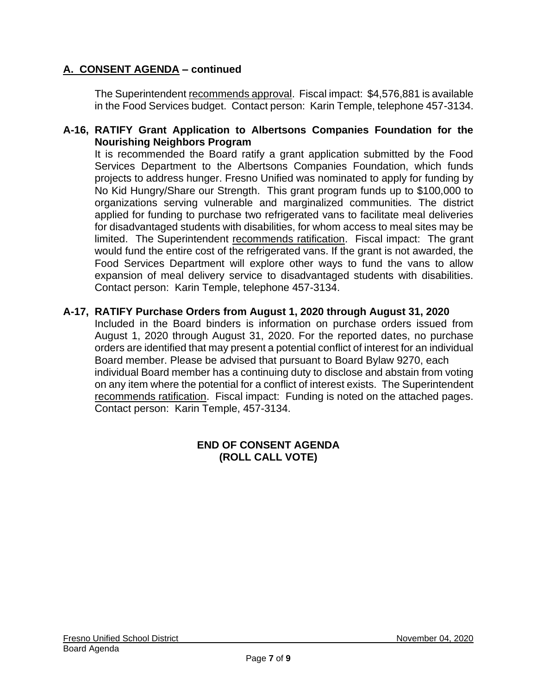The Superintendent recommends approval. Fiscal impact: \$4,576,881 is available in the Food Services budget. Contact person: Karin Temple, telephone 457-3134.

### **A-16, RATIFY Grant Application to Albertsons Companies Foundation for the Nourishing Neighbors Program**

It is recommended the Board ratify a grant application submitted by the Food Services Department to the Albertsons Companies Foundation, which funds projects to address hunger. Fresno Unified was nominated to apply for funding by No Kid Hungry/Share our Strength. This grant program funds up to \$100,000 to organizations serving vulnerable and marginalized communities. The district applied for funding to purchase two refrigerated vans to facilitate meal deliveries for disadvantaged students with disabilities, for whom access to meal sites may be limited. The Superintendent recommends ratification. Fiscal impact: The grant would fund the entire cost of the refrigerated vans. If the grant is not awarded, the Food Services Department will explore other ways to fund the vans to allow expansion of meal delivery service to disadvantaged students with disabilities. Contact person: Karin Temple, telephone 457-3134.

# **A-17, RATIFY Purchase Orders from August 1, 2020 through August 31, 2020**

Included in the Board binders is information on purchase orders issued from August 1, 2020 through August 31, 2020. For the reported dates, no purchase orders are identified that may present a potential conflict of interest for an individual Board member. Please be advised that pursuant to Board Bylaw 9270, each individual Board member has a continuing duty to disclose and abstain from voting on any item where the potential for a conflict of interest exists. The Superintendent recommends ratification. Fiscal impact: Funding is noted on the attached pages. Contact person: Karin Temple, 457-3134.

#### **END OF CONSENT AGENDA (ROLL CALL VOTE)**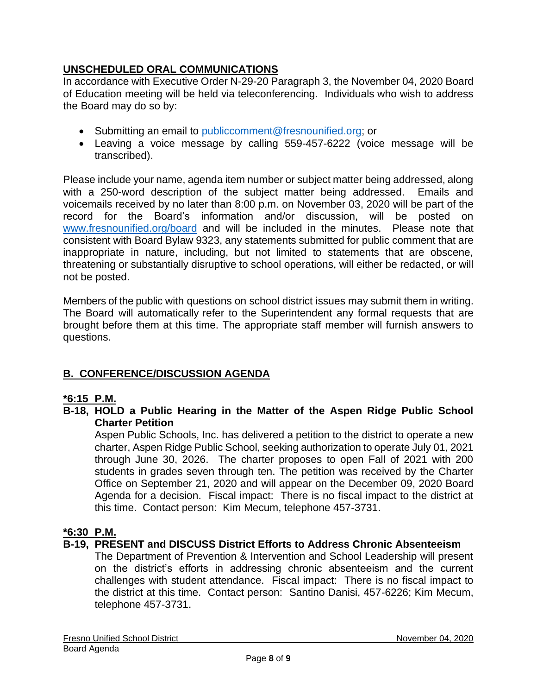# **UNSCHEDULED ORAL COMMUNICATIONS**

In accordance with Executive Order N-29-20 Paragraph 3, the November 04, 2020 Board of Education meeting will be held via teleconferencing. Individuals who wish to address the Board may do so by:

- Submitting an email to [publiccomment@fresnounified.org;](mailto:publiccomment@fresnounified.org) or
- Leaving a voice message by calling 559-457-6222 (voice message will be transcribed).

Please include your name, agenda item number or subject matter being addressed, along with a 250-word description of the subject matter being addressed. Emails and voicemails received by no later than 8:00 p.m. on November 03, 2020 will be part of the record for the Board's information and/or discussion, will be posted on [www.fresnounified.org/board](http://www.fresnounified.org/board) and will be included in the minutes. Please note that consistent with Board Bylaw 9323, any statements submitted for public comment that are inappropriate in nature, including, but not limited to statements that are obscene, threatening or substantially disruptive to school operations, will either be redacted, or will not be posted.

Members of the public with questions on school district issues may submit them in writing. The Board will automatically refer to the Superintendent any formal requests that are brought before them at this time. The appropriate staff member will furnish answers to questions.

# **B. CONFERENCE/DISCUSSION AGENDA**

# **\*6:15 P.M.**

**B-18, HOLD a Public Hearing in the Matter of the Aspen Ridge Public School Charter Petition**

Aspen Public Schools, Inc. has delivered a petition to the district to operate a new charter, Aspen Ridge Public School, seeking authorization to operate July 01, 2021 through June 30, 2026. The charter proposes to open Fall of 2021 with 200 students in grades seven through ten. The petition was received by the Charter Office on September 21, 2020 and will appear on the December 09, 2020 Board Agenda for a decision. Fiscal impact: There is no fiscal impact to the district at this time. Contact person: Kim Mecum, telephone 457-3731.

# **\*6:30 P.M.**

# **B-19, PRESENT and DISCUSS District Efforts to Address Chronic Absenteeism**

The Department of Prevention & Intervention and School Leadership will present on the district's efforts in addressing chronic absenteeism and the current challenges with student attendance. Fiscal impact: There is no fiscal impact to the district at this time. Contact person: Santino Danisi, 457-6226; Kim Mecum, telephone 457-3731.